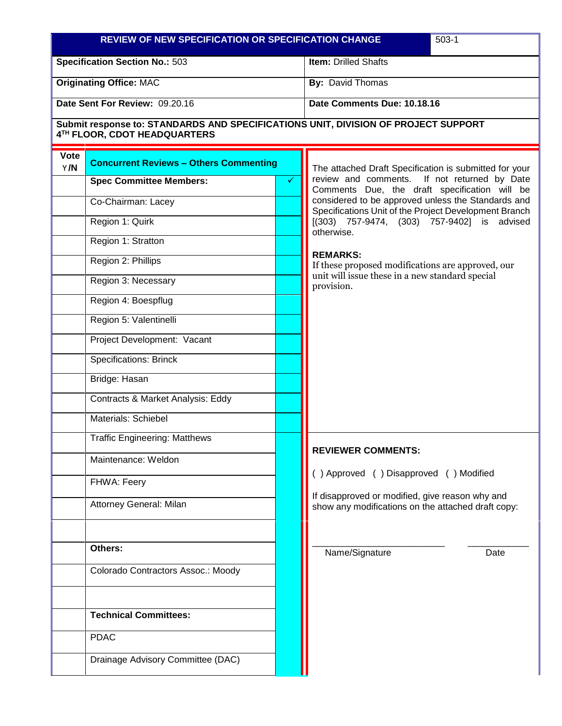# **REVIEW OF NEW SPECIFICATION OR SPECIFICATION CHANGE** 503-1 **Specification Section No.: 503 Item:** Drilled Shafts **Originating Office:** MAC **By:** David Thomas **Date Sent For Review: 09.20.16 Date Comments Due: 10.18.16 Submit response to: STANDARDS AND SPECIFICATIONS UNIT, DIVISION OF PROJECT SUPPORT 4 TH FLOOR, CDOT HEADQUARTERS Vote**  <sup>Υ</sup> **/N Concurrent Reviews – Others Commenting** The attached Draft Specification is submitted for your review and comments. If not returned by Date Comments Due, the draft specification will be considered to be approved unless the Standards and Specifications Unit of the Project Development Branch [(303) 757-9474, (303) 757-9402] is advised otherwise. **REMARKS:** If these proposed modifications are approved, our unit will issue these in a new standard special provision. **Spec Committee Members:**  Co-Chairman: Lacey Region 1: Quirk Region 1: Stratton Region 2: Phillips Region 3: Necessary Region 4: Boespflug Region 5: Valentinelli Project Development: Vacant Specifications: Brinck Bridge: Hasan Contracts & Market Analysis: Eddy Materials: Schiebel Traffic Engineering: Matthews **REVIEWER COMMENTS:**  ( ) Approved ( ) Disapproved ( ) Modified If disapproved or modified, give reason why and show any modifications on the attached draft copy: \_\_\_\_\_\_\_\_\_\_\_\_\_\_\_\_\_\_\_\_\_\_\_\_\_\_ \_\_\_\_\_\_\_\_\_\_\_\_ Name/Signature Date Maintenance: Weldon FHWA: Feery Attorney General: Milan **Others:**  Colorado Contractors Assoc.: Moody **Technical Committees:**  PDAC Drainage Advisory Committee (DAC)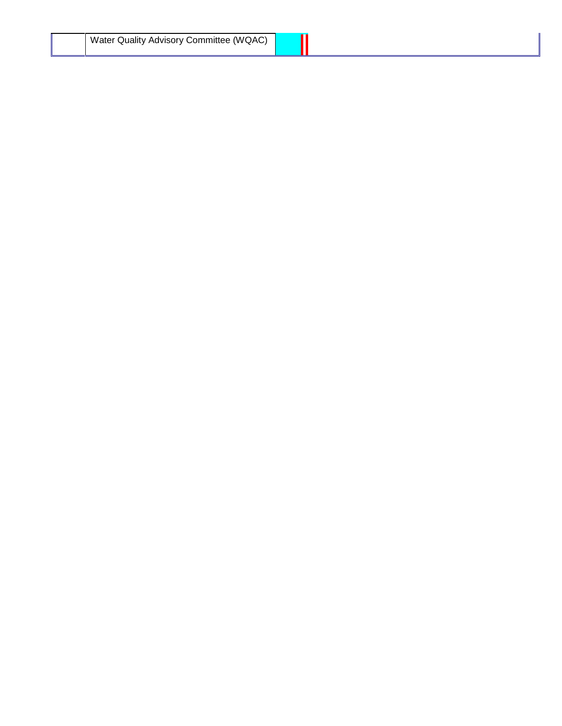| Water Quality Advisory Committee (WQAC) |  |
|-----------------------------------------|--|
|                                         |  |

Ī

I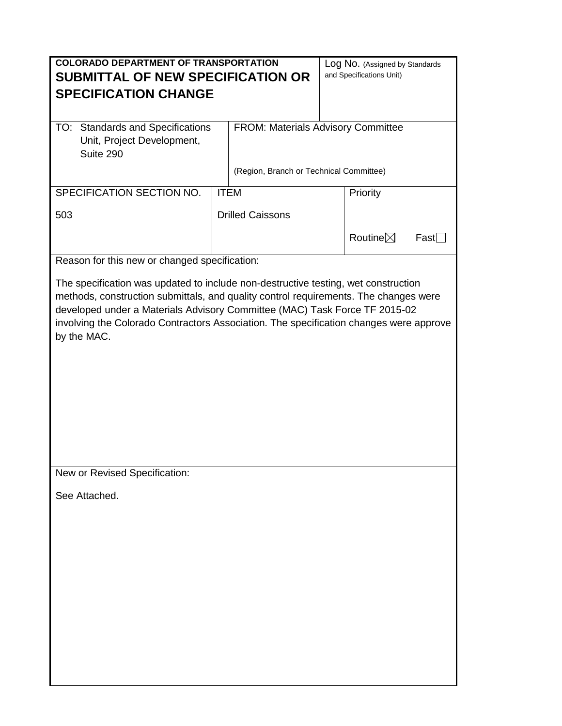| <b>COLORADO DEPARTMENT OF TRANSPORTATION</b><br>Log No. (Assigned by Standards<br>and Specifications Unit)<br><b>SUBMITTAL OF NEW SPECIFICATION OR</b><br><b>SPECIFICATION CHANGE</b>                                                                                                                                                                             |  |                                         |  |                             |
|-------------------------------------------------------------------------------------------------------------------------------------------------------------------------------------------------------------------------------------------------------------------------------------------------------------------------------------------------------------------|--|-----------------------------------------|--|-----------------------------|
| TO: Standards and Specifications<br>Unit, Project Development,<br>Suite 290                                                                                                                                                                                                                                                                                       |  | FROM: Materials Advisory Committee      |  |                             |
|                                                                                                                                                                                                                                                                                                                                                                   |  | (Region, Branch or Technical Committee) |  |                             |
| SPECIFICATION SECTION NO.                                                                                                                                                                                                                                                                                                                                         |  | <b>ITEM</b>                             |  | Priority                    |
| 503                                                                                                                                                                                                                                                                                                                                                               |  | <b>Drilled Caissons</b>                 |  | Routine $\boxtimes$<br>Fast |
| Reason for this new or changed specification:                                                                                                                                                                                                                                                                                                                     |  |                                         |  |                             |
| The specification was updated to include non-destructive testing, wet construction<br>methods, construction submittals, and quality control requirements. The changes were<br>developed under a Materials Advisory Committee (MAC) Task Force TF 2015-02<br>involving the Colorado Contractors Association. The specification changes were approve<br>by the MAC. |  |                                         |  |                             |
| New or Revised Specification:                                                                                                                                                                                                                                                                                                                                     |  |                                         |  |                             |
| See Attached.                                                                                                                                                                                                                                                                                                                                                     |  |                                         |  |                             |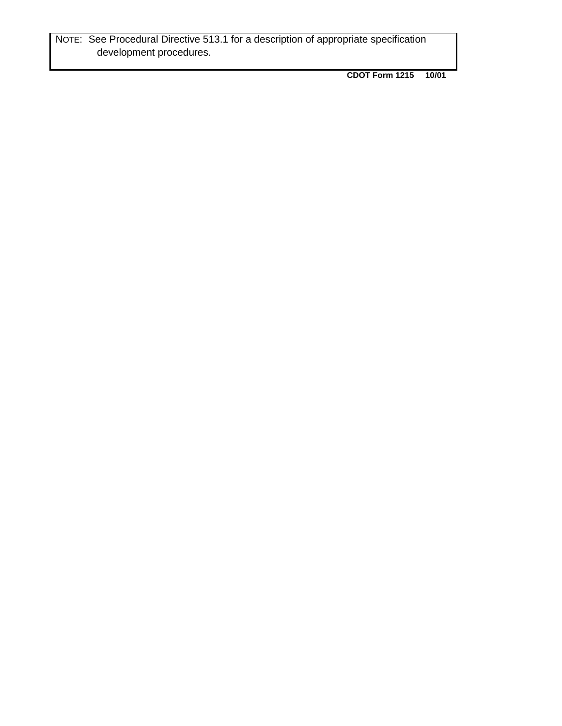NOTE: See Procedural Directive 513.1 for a description of appropriate specification development procedures.

**CDOT Form 1215 10/01**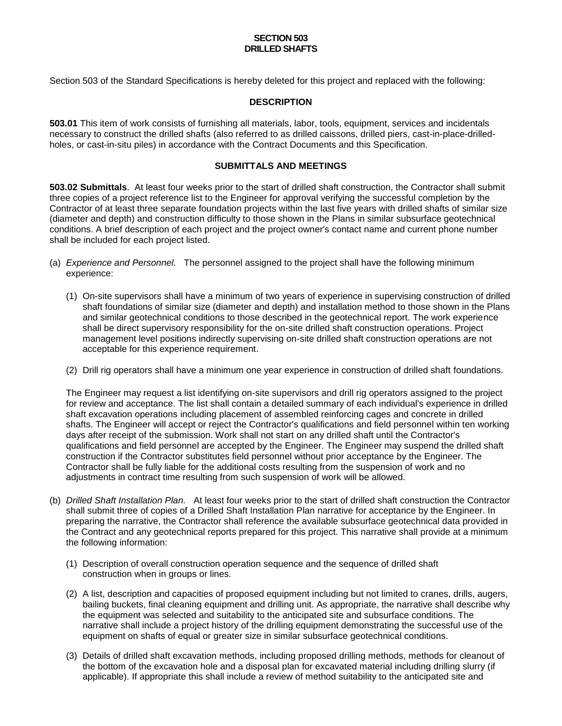## **SECTION 503 DRILLED SHAFTS**

Section 503 of the Standard Specifications is hereby deleted for this project and replaced with the following:

#### **DESCRIPTION**

**503.01** This item of work consists of furnishing all materials, labor, tools, equipment, services and incidentals necessary to construct the drilled shafts (also referred to as drilled caissons, drilled piers, cast-in-place-drilledholes, or cast-in-situ piles) in accordance with the Contract Documents and this Specification.

## **SUBMITTALS AND MEETINGS**

**503.02 Submittals**. At least four weeks prior to the start of drilled shaft construction, the Contractor shall submit three copies of a project reference list to the Engineer for approval verifying the successful completion by the Contractor of at least three separate foundation projects within the last five years with drilled shafts of similar size (diameter and depth) and construction difficulty to those shown in the Plans in similar subsurface geotechnical conditions. A brief description of each project and the project owner's contact name and current phone number shall be included for each project listed.

- (a) *Experience and Personnel.* The personnel assigned to the project shall have the following minimum experience:
	- (1) On-site supervisors shall have a minimum of two years of experience in supervising construction of drilled shaft foundations of similar size (diameter and depth) and installation method to those shown in the Plans and similar geotechnical conditions to those described in the geotechnical report. The work experience shall be direct supervisory responsibility for the on-site drilled shaft construction operations. Project management level positions indirectly supervising on-site drilled shaft construction operations are not acceptable for this experience requirement.
	- (2) Drill rig operators shall have a minimum one year experience in construction of drilled shaft foundations.

The Engineer may request a list identifying on-site supervisors and drill rig operators assigned to the project for review and acceptance. The list shall contain a detailed summary of each individual's experience in drilled shaft excavation operations including placement of assembled reinforcing cages and concrete in drilled shafts. The Engineer will accept or reject the Contractor's qualifications and field personnel within ten working days after receipt of the submission. Work shall not start on any drilled shaft until the Contractor's qualifications and field personnel are accepted by the Engineer. The Engineer may suspend the drilled shaft construction if the Contractor substitutes field personnel without prior acceptance by the Engineer. The Contractor shall be fully liable for the additional costs resulting from the suspension of work and no adjustments in contract time resulting from such suspension of work will be allowed.

- (b) *Drilled Shaft Installation Plan.* At least four weeks prior to the start of drilled shaft construction the Contractor shall submit three of copies of a Drilled Shaft Installation Plan narrative for acceptance by the Engineer. In preparing the narrative, the Contractor shall reference the available subsurface geotechnical data provided in the Contract and any geotechnical reports prepared for this project. This narrative shall provide at a minimum the following information:
	- (1) Description of overall construction operation sequence and the sequence of drilled shaft construction when in groups or lines.
	- (2) A list, description and capacities of proposed equipment including but not limited to cranes, drills, augers, bailing buckets, final cleaning equipment and drilling unit. As appropriate, the narrative shall describe why the equipment was selected and suitability to the anticipated site and subsurface conditions. The narrative shall include a project history of the drilling equipment demonstrating the successful use of the equipment on shafts of equal or greater size in similar subsurface geotechnical conditions.
	- (3) Details of drilled shaft excavation methods, including proposed drilling methods, methods for cleanout of the bottom of the excavation hole and a disposal plan for excavated material including drilling slurry (if applicable). If appropriate this shall include a review of method suitability to the anticipated site and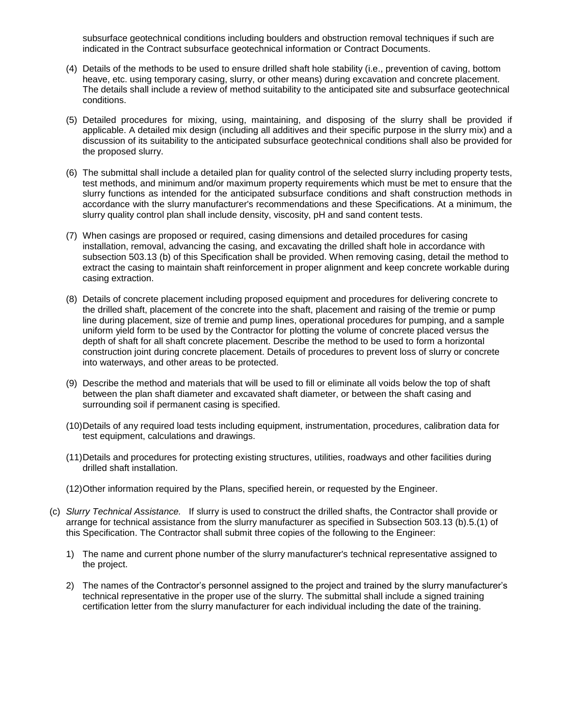subsurface geotechnical conditions including boulders and obstruction removal techniques if such are indicated in the Contract subsurface geotechnical information or Contract Documents.

- (4) Details of the methods to be used to ensure drilled shaft hole stability (i.e., prevention of caving, bottom heave, etc. using temporary casing, slurry, or other means) during excavation and concrete placement. The details shall include a review of method suitability to the anticipated site and subsurface geotechnical conditions.
- (5) Detailed procedures for mixing, using, maintaining, and disposing of the slurry shall be provided if applicable. A detailed mix design (including all additives and their specific purpose in the slurry mix) and a discussion of its suitability to the anticipated subsurface geotechnical conditions shall also be provided for the proposed slurry.
- (6) The submittal shall include a detailed plan for quality control of the selected slurry including property tests, test methods, and minimum and/or maximum property requirements which must be met to ensure that the slurry functions as intended for the anticipated subsurface conditions and shaft construction methods in accordance with the slurry manufacturer's recommendations and these Specifications. At a minimum, the slurry quality control plan shall include density, viscosity, pH and sand content tests.
- (7) When casings are proposed or required, casing dimensions and detailed procedures for casing installation, removal, advancing the casing, and excavating the drilled shaft hole in accordance with subsection 503.13 (b) of this Specification shall be provided. When removing casing, detail the method to extract the casing to maintain shaft reinforcement in proper alignment and keep concrete workable during casing extraction.
- (8) Details of concrete placement including proposed equipment and procedures for delivering concrete to the drilled shaft, placement of the concrete into the shaft, placement and raising of the tremie or pump line during placement, size of tremie and pump lines, operational procedures for pumping, and a sample uniform yield form to be used by the Contractor for plotting the volume of concrete placed versus the depth of shaft for all shaft concrete placement. Describe the method to be used to form a horizontal construction joint during concrete placement. Details of procedures to prevent loss of slurry or concrete into waterways, and other areas to be protected.
- (9) Describe the method and materials that will be used to fill or eliminate all voids below the top of shaft between the plan shaft diameter and excavated shaft diameter, or between the shaft casing and surrounding soil if permanent casing is specified.
- (10)Details of any required load tests including equipment, instrumentation, procedures, calibration data for test equipment, calculations and drawings.
- (11)Details and procedures for protecting existing structures, utilities, roadways and other facilities during drilled shaft installation.
- (12)Other information required by the Plans, specified herein, or requested by the Engineer.
- (c) *Slurry Technical Assistance.* If slurry is used to construct the drilled shafts, the Contractor shall provide or arrange for technical assistance from the slurry manufacturer as specified in Subsection 503.13 (b).5.(1) of this Specification. The Contractor shall submit three copies of the following to the Engineer:
	- 1) The name and current phone number of the slurry manufacturer's technical representative assigned to the project.
	- 2) The names of the Contractor's personnel assigned to the project and trained by the slurry manufacturer's technical representative in the proper use of the slurry. The submittal shall include a signed training certification letter from the slurry manufacturer for each individual including the date of the training.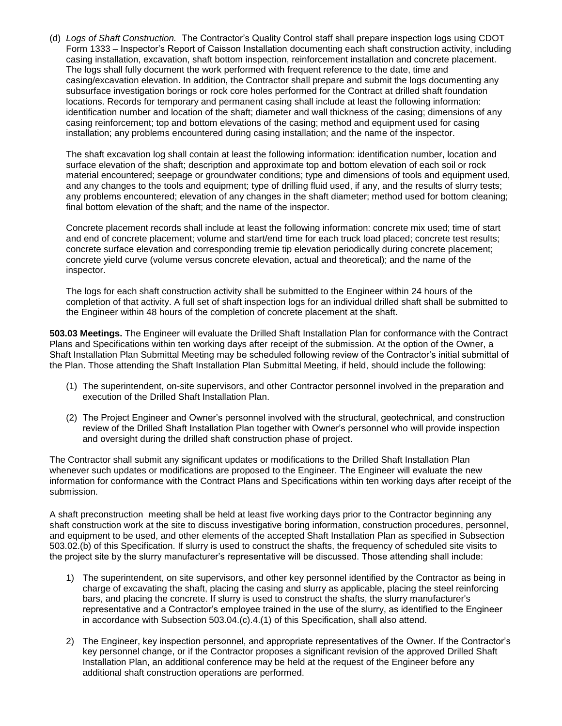(d) *Logs of Shaft Construction.* The Contractor's Quality Control staff shall prepare inspection logs using CDOT Form 1333 – Inspector's Report of Caisson Installation documenting each shaft construction activity, including casing installation, excavation, shaft bottom inspection, reinforcement installation and concrete placement. The logs shall fully document the work performed with frequent reference to the date, time and casing/excavation elevation. In addition, the Contractor shall prepare and submit the logs documenting any subsurface investigation borings or rock core holes performed for the Contract at drilled shaft foundation locations. Records for temporary and permanent casing shall include at least the following information: identification number and location of the shaft; diameter and wall thickness of the casing; dimensions of any casing reinforcement; top and bottom elevations of the casing; method and equipment used for casing installation; any problems encountered during casing installation; and the name of the inspector.

The shaft excavation log shall contain at least the following information: identification number, location and surface elevation of the shaft; description and approximate top and bottom elevation of each soil or rock material encountered; seepage or groundwater conditions; type and dimensions of tools and equipment used, and any changes to the tools and equipment; type of drilling fluid used, if any, and the results of slurry tests; any problems encountered; elevation of any changes in the shaft diameter; method used for bottom cleaning; final bottom elevation of the shaft; and the name of the inspector.

Concrete placement records shall include at least the following information: concrete mix used; time of start and end of concrete placement; volume and start/end time for each truck load placed; concrete test results; concrete surface elevation and corresponding tremie tip elevation periodically during concrete placement; concrete yield curve (volume versus concrete elevation, actual and theoretical); and the name of the inspector.

The logs for each shaft construction activity shall be submitted to the Engineer within 24 hours of the completion of that activity. A full set of shaft inspection logs for an individual drilled shaft shall be submitted to the Engineer within 48 hours of the completion of concrete placement at the shaft.

**503.03 Meetings.** The Engineer will evaluate the Drilled Shaft Installation Plan for conformance with the Contract Plans and Specifications within ten working days after receipt of the submission. At the option of the Owner, a Shaft Installation Plan Submittal Meeting may be scheduled following review of the Contractor's initial submittal of the Plan. Those attending the Shaft Installation Plan Submittal Meeting, if held, should include the following:

- (1) The superintendent, on-site supervisors, and other Contractor personnel involved in the preparation and execution of the Drilled Shaft Installation Plan.
- (2) The Project Engineer and Owner's personnel involved with the structural, geotechnical, and construction review of the Drilled Shaft Installation Plan together with Owner's personnel who will provide inspection and oversight during the drilled shaft construction phase of project.

The Contractor shall submit any significant updates or modifications to the Drilled Shaft Installation Plan whenever such updates or modifications are proposed to the Engineer. The Engineer will evaluate the new information for conformance with the Contract Plans and Specifications within ten working days after receipt of the submission.

A shaft preconstruction meeting shall be held at least five working days prior to the Contractor beginning any shaft construction work at the site to discuss investigative boring information, construction procedures, personnel, and equipment to be used, and other elements of the accepted Shaft Installation Plan as specified in Subsection 503.02.(b) of this Specification. If slurry is used to construct the shafts, the frequency of scheduled site visits to the project site by the slurry manufacturer's representative will be discussed. Those attending shall include:

- 1) The superintendent, on site supervisors, and other key personnel identified by the Contractor as being in charge of excavating the shaft, placing the casing and slurry as applicable, placing the steel reinforcing bars, and placing the concrete. If slurry is used to construct the shafts, the slurry manufacturer's representative and a Contractor's employee trained in the use of the slurry, as identified to the Engineer in accordance with Subsection 503.04.(c).4.(1) of this Specification, shall also attend.
- 2) The Engineer, key inspection personnel, and appropriate representatives of the Owner. If the Contractor's key personnel change, or if the Contractor proposes a significant revision of the approved Drilled Shaft Installation Plan, an additional conference may be held at the request of the Engineer before any additional shaft construction operations are performed.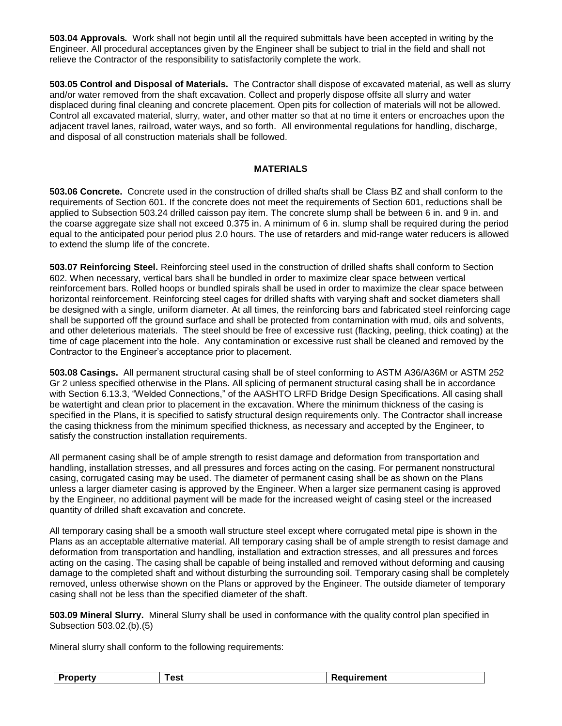**503.04 Approvals***.* Work shall not begin until all the required submittals have been accepted in writing by the Engineer. All procedural acceptances given by the Engineer shall be subject to trial in the field and shall not relieve the Contractor of the responsibility to satisfactorily complete the work.

**503.05 Control and Disposal of Materials.** The Contractor shall dispose of excavated material, as well as slurry and/or water removed from the shaft excavation. Collect and properly dispose offsite all slurry and water displaced during final cleaning and concrete placement. Open pits for collection of materials will not be allowed. Control all excavated material, slurry, water, and other matter so that at no time it enters or encroaches upon the adjacent travel lanes, railroad, water ways, and so forth. All environmental regulations for handling, discharge, and disposal of all construction materials shall be followed.

## **MATERIALS**

**503.06 Concrete.**Concrete used in the construction of drilled shafts shall be Class BZ and shall conform to the requirements of Section 601. If the concrete does not meet the requirements of Section 601, reductions shall be applied to Subsection 503.24 drilled caisson pay item. The concrete slump shall be between 6 in. and 9 in. and the coarse aggregate size shall not exceed 0.375 in. A minimum of 6 in. slump shall be required during the period equal to the anticipated pour period plus 2.0 hours. The use of retarders and mid-range water reducers is allowed to extend the slump life of the concrete.

**503.07 Reinforcing Steel.** Reinforcing steel used in the construction of drilled shafts shall conform to Section 602. When necessary, vertical bars shall be bundled in order to maximize clear space between vertical reinforcement bars. Rolled hoops or bundled spirals shall be used in order to maximize the clear space between horizontal reinforcement. Reinforcing steel cages for drilled shafts with varying shaft and socket diameters shall be designed with a single, uniform diameter. At all times, the reinforcing bars and fabricated steel reinforcing cage shall be supported off the ground surface and shall be protected from contamination with mud, oils and solvents, and other deleterious materials. The steel should be free of excessive rust (flacking, peeling, thick coating) at the time of cage placement into the hole. Any contamination or excessive rust shall be cleaned and removed by the Contractor to the Engineer's acceptance prior to placement.

**503.08 Casings.**All permanent structural casing shall be of steel conforming to ASTM A36/A36M or ASTM 252 Gr 2 unless specified otherwise in the Plans. All splicing of permanent structural casing shall be in accordance with Section 6.13.3, "Welded Connections," of the AASHTO LRFD Bridge Design Specifications. All casing shall be watertight and clean prior to placement in the excavation. Where the minimum thickness of the casing is specified in the Plans, it is specified to satisfy structural design requirements only. The Contractor shall increase the casing thickness from the minimum specified thickness, as necessary and accepted by the Engineer, to satisfy the construction installation requirements.

All permanent casing shall be of ample strength to resist damage and deformation from transportation and handling, installation stresses, and all pressures and forces acting on the casing. For permanent nonstructural casing, corrugated casing may be used. The diameter of permanent casing shall be as shown on the Plans unless a larger diameter casing is approved by the Engineer. When a larger size permanent casing is approved by the Engineer, no additional payment will be made for the increased weight of casing steel or the increased quantity of drilled shaft excavation and concrete.

All temporary casing shall be a smooth wall structure steel except where corrugated metal pipe is shown in the Plans as an acceptable alternative material. All temporary casing shall be of ample strength to resist damage and deformation from transportation and handling, installation and extraction stresses, and all pressures and forces acting on the casing. The casing shall be capable of being installed and removed without deforming and causing damage to the completed shaft and without disturbing the surrounding soil. Temporary casing shall be completely removed, unless otherwise shown on the Plans or approved by the Engineer. The outside diameter of temporary casing shall not be less than the specified diameter of the shaft.

**503.09 Mineral Slurry.**Mineral Slurry shall be used in conformance with the quality control plan specified in Subsection 503.02.(b).(5)

Mineral slurry shall conform to the following requirements: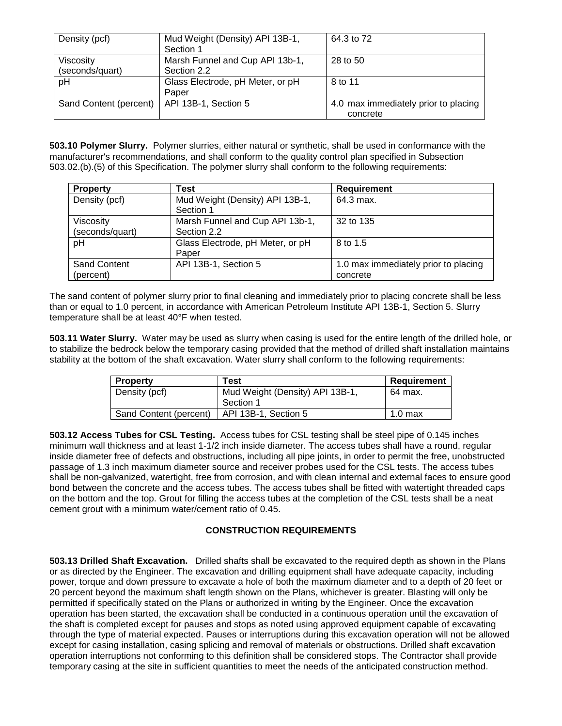| Density (pcf)                | Mud Weight (Density) API 13B-1,<br>Section 1   | 64.3 to 72                                       |
|------------------------------|------------------------------------------------|--------------------------------------------------|
| Viscosity<br>(seconds/quart) | Marsh Funnel and Cup API 13b-1,<br>Section 2.2 | 28 to 50                                         |
| pH                           | Glass Electrode, pH Meter, or pH<br>Paper      | 8 to 11                                          |
| Sand Content (percent)       | API 13B-1, Section 5                           | 4.0 max immediately prior to placing<br>concrete |

**503.10 Polymer Slurry.** Polymer slurries, either natural or synthetic, shall be used in conformance with the manufacturer's recommendations, and shall conform to the quality control plan specified in Subsection 503.02.(b).(5) of this Specification. The polymer slurry shall conform to the following requirements:

| <b>Property</b>     | Test                             | Requirement                          |
|---------------------|----------------------------------|--------------------------------------|
| Density (pcf)       | Mud Weight (Density) API 13B-1,  | 64.3 max.                            |
|                     | Section 1                        |                                      |
| Viscosity           | Marsh Funnel and Cup API 13b-1,  | 32 to 135                            |
| (seconds/quart)     | Section 2.2                      |                                      |
| pH                  | Glass Electrode, pH Meter, or pH | 8 to 1.5                             |
|                     | Paper                            |                                      |
| <b>Sand Content</b> | API 13B-1, Section 5             | 1.0 max immediately prior to placing |
| (percent)           |                                  | concrete                             |

The sand content of polymer slurry prior to final cleaning and immediately prior to placing concrete shall be less than or equal to 1.0 percent, in accordance with American Petroleum Institute API 13B-1, Section 5. Slurry temperature shall be at least 40°F when tested.

**503.11 Water Slurry.** Water may be used as slurry when casing is used for the entire length of the drilled hole, or to stabilize the bedrock below the temporary casing provided that the method of drilled shaft installation maintains stability at the bottom of the shaft excavation. Water slurry shall conform to the following requirements:

| <b>Property</b>        | Test                            | Requirement        |
|------------------------|---------------------------------|--------------------|
| Density (pcf)          | Mud Weight (Density) API 13B-1, | 64 max.            |
|                        | Section 1                       |                    |
| Sand Content (percent) | API 13B-1, Section 5            | 1.0 <sub>max</sub> |

**503.12 Access Tubes for CSL Testing.** Access tubes for CSL testing shall be steel pipe of 0.145 inches minimum wall thickness and at least 1-1/2 inch inside diameter. The access tubes shall have a round, regular inside diameter free of defects and obstructions, including all pipe joints, in order to permit the free, unobstructed passage of 1.3 inch maximum diameter source and receiver probes used for the CSL tests. The access tubes shall be non-galvanized, watertight, free from corrosion, and with clean internal and external faces to ensure good bond between the concrete and the access tubes. The access tubes shall be fitted with watertight threaded caps on the bottom and the top. Grout for filling the access tubes at the completion of the CSL tests shall be a neat cement grout with a minimum water/cement ratio of 0.45.

# **CONSTRUCTION REQUIREMENTS**

**503.13 Drilled Shaft Excavation.**Drilled shafts shall be excavated to the required depth as shown in the Plans or as directed by the Engineer. The excavation and drilling equipment shall have adequate capacity, including power, torque and down pressure to excavate a hole of both the maximum diameter and to a depth of 20 feet or 20 percent beyond the maximum shaft length shown on the Plans, whichever is greater. Blasting will only be permitted if specifically stated on the Plans or authorized in writing by the Engineer. Once the excavation operation has been started, the excavation shall be conducted in a continuous operation until the excavation of the shaft is completed except for pauses and stops as noted using approved equipment capable of excavating through the type of material expected. Pauses or interruptions during this excavation operation will not be allowed except for casing installation, casing splicing and removal of materials or obstructions. Drilled shaft excavation operation interruptions not conforming to this definition shall be considered stops. The Contractor shall provide temporary casing at the site in sufficient quantities to meet the needs of the anticipated construction method.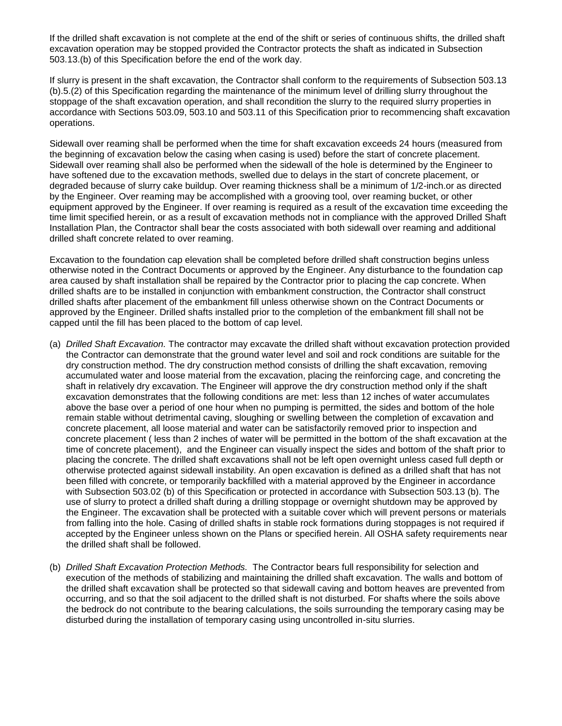If the drilled shaft excavation is not complete at the end of the shift or series of continuous shifts, the drilled shaft excavation operation may be stopped provided the Contractor protects the shaft as indicated in Subsection 503.13.(b) of this Specification before the end of the work day.

If slurry is present in the shaft excavation, the Contractor shall conform to the requirements of Subsection 503.13 (b).5.(2) of this Specification regarding the maintenance of the minimum level of drilling slurry throughout the stoppage of the shaft excavation operation, and shall recondition the slurry to the required slurry properties in accordance with Sections 503.09, 503.10 and 503.11 of this Specification prior to recommencing shaft excavation operations.

Sidewall over reaming shall be performed when the time for shaft excavation exceeds 24 hours (measured from the beginning of excavation below the casing when casing is used) before the start of concrete placement. Sidewall over reaming shall also be performed when the sidewall of the hole is determined by the Engineer to have softened due to the excavation methods, swelled due to delays in the start of concrete placement, or degraded because of slurry cake buildup. Over reaming thickness shall be a minimum of 1/2-inch.or as directed by the Engineer. Over reaming may be accomplished with a grooving tool, over reaming bucket, or other equipment approved by the Engineer. If over reaming is required as a result of the excavation time exceeding the time limit specified herein, or as a result of excavation methods not in compliance with the approved Drilled Shaft Installation Plan, the Contractor shall bear the costs associated with both sidewall over reaming and additional drilled shaft concrete related to over reaming.

Excavation to the foundation cap elevation shall be completed before drilled shaft construction begins unless otherwise noted in the Contract Documents or approved by the Engineer. Any disturbance to the foundation cap area caused by shaft installation shall be repaired by the Contractor prior to placing the cap concrete. When drilled shafts are to be installed in conjunction with embankment construction, the Contractor shall construct drilled shafts after placement of the embankment fill unless otherwise shown on the Contract Documents or approved by the Engineer. Drilled shafts installed prior to the completion of the embankment fill shall not be capped until the fill has been placed to the bottom of cap level.

- (a) *Drilled Shaft Excavation.* The contractor may excavate the drilled shaft without excavation protection provided the Contractor can demonstrate that the ground water level and soil and rock conditions are suitable for the dry construction method. The dry construction method consists of drilling the shaft excavation, removing accumulated water and loose material from the excavation, placing the reinforcing cage, and concreting the shaft in relatively dry excavation. The Engineer will approve the dry construction method only if the shaft excavation demonstrates that the following conditions are met: less than 12 inches of water accumulates above the base over a period of one hour when no pumping is permitted, the sides and bottom of the hole remain stable without detrimental caving, sloughing or swelling between the completion of excavation and concrete placement, all loose material and water can be satisfactorily removed prior to inspection and concrete placement ( less than 2 inches of water will be permitted in the bottom of the shaft excavation at the time of concrete placement), and the Engineer can visually inspect the sides and bottom of the shaft prior to placing the concrete. The drilled shaft excavations shall not be left open overnight unless cased full depth or otherwise protected against sidewall instability. An open excavation is defined as a drilled shaft that has not been filled with concrete, or temporarily backfilled with a material approved by the Engineer in accordance with Subsection 503.02 (b) of this Specification or protected in accordance with Subsection 503.13 (b). The use of slurry to protect a drilled shaft during a drilling stoppage or overnight shutdown may be approved by the Engineer. The excavation shall be protected with a suitable cover which will prevent persons or materials from falling into the hole. Casing of drilled shafts in stable rock formations during stoppages is not required if accepted by the Engineer unless shown on the Plans or specified herein. All OSHA safety requirements near the drilled shaft shall be followed.
- (b) *Drilled Shaft Excavation Protection Methods.* The Contractor bears full responsibility for selection and execution of the methods of stabilizing and maintaining the drilled shaft excavation. The walls and bottom of the drilled shaft excavation shall be protected so that sidewall caving and bottom heaves are prevented from occurring, and so that the soil adjacent to the drilled shaft is not disturbed. For shafts where the soils above the bedrock do not contribute to the bearing calculations, the soils surrounding the temporary casing may be disturbed during the installation of temporary casing using uncontrolled in-situ slurries.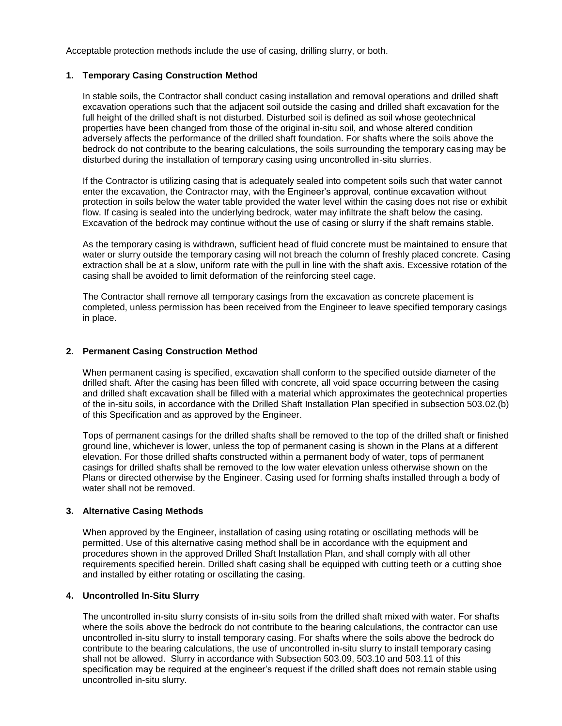Acceptable protection methods include the use of casing, drilling slurry, or both.

## **1. Temporary Casing Construction Method**

In stable soils, the Contractor shall conduct casing installation and removal operations and drilled shaft excavation operations such that the adjacent soil outside the casing and drilled shaft excavation for the full height of the drilled shaft is not disturbed. Disturbed soil is defined as soil whose geotechnical properties have been changed from those of the original in-situ soil, and whose altered condition adversely affects the performance of the drilled shaft foundation. For shafts where the soils above the bedrock do not contribute to the bearing calculations, the soils surrounding the temporary casing may be disturbed during the installation of temporary casing using uncontrolled in-situ slurries.

If the Contractor is utilizing casing that is adequately sealed into competent soils such that water cannot enter the excavation, the Contractor may, with the Engineer's approval, continue excavation without protection in soils below the water table provided the water level within the casing does not rise or exhibit flow. If casing is sealed into the underlying bedrock, water may infiltrate the shaft below the casing. Excavation of the bedrock may continue without the use of casing or slurry if the shaft remains stable.

As the temporary casing is withdrawn, sufficient head of fluid concrete must be maintained to ensure that water or slurry outside the temporary casing will not breach the column of freshly placed concrete. Casing extraction shall be at a slow, uniform rate with the pull in line with the shaft axis. Excessive rotation of the casing shall be avoided to limit deformation of the reinforcing steel cage.

The Contractor shall remove all temporary casings from the excavation as concrete placement is completed, unless permission has been received from the Engineer to leave specified temporary casings in place.

## **2. Permanent Casing Construction Method**

When permanent casing is specified, excavation shall conform to the specified outside diameter of the drilled shaft. After the casing has been filled with concrete, all void space occurring between the casing and drilled shaft excavation shall be filled with a material which approximates the geotechnical properties of the in-situ soils, in accordance with the Drilled Shaft Installation Plan specified in subsection 503.02.(b) of this Specification and as approved by the Engineer.

Tops of permanent casings for the drilled shafts shall be removed to the top of the drilled shaft or finished ground line, whichever is lower, unless the top of permanent casing is shown in the Plans at a different elevation. For those drilled shafts constructed within a permanent body of water, tops of permanent casings for drilled shafts shall be removed to the low water elevation unless otherwise shown on the Plans or directed otherwise by the Engineer. Casing used for forming shafts installed through a body of water shall not be removed.

#### **3. Alternative Casing Methods**

When approved by the Engineer, installation of casing using rotating or oscillating methods will be permitted. Use of this alternative casing method shall be in accordance with the equipment and procedures shown in the approved Drilled Shaft Installation Plan, and shall comply with all other requirements specified herein. Drilled shaft casing shall be equipped with cutting teeth or a cutting shoe and installed by either rotating or oscillating the casing.

#### **4. Uncontrolled In-Situ Slurry**

The uncontrolled in-situ slurry consists of in-situ soils from the drilled shaft mixed with water. For shafts where the soils above the bedrock do not contribute to the bearing calculations, the contractor can use uncontrolled in-situ slurry to install temporary casing. For shafts where the soils above the bedrock do contribute to the bearing calculations, the use of uncontrolled in-situ slurry to install temporary casing shall not be allowed. Slurry in accordance with Subsection 503.09, 503.10 and 503.11 of this specification may be required at the engineer's request if the drilled shaft does not remain stable using uncontrolled in-situ slurry.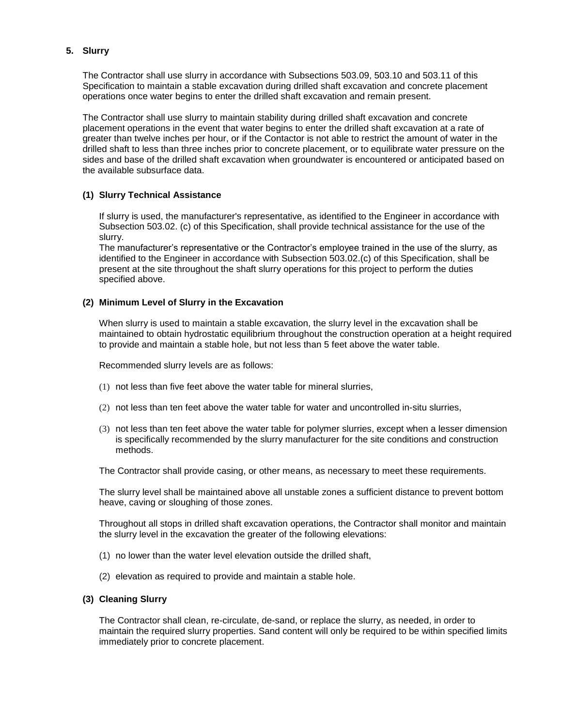# **5. Slurry**

The Contractor shall use slurry in accordance with Subsections 503.09, 503.10 and 503.11 of this Specification to maintain a stable excavation during drilled shaft excavation and concrete placement operations once water begins to enter the drilled shaft excavation and remain present.

The Contractor shall use slurry to maintain stability during drilled shaft excavation and concrete placement operations in the event that water begins to enter the drilled shaft excavation at a rate of greater than twelve inches per hour, or if the Contactor is not able to restrict the amount of water in the drilled shaft to less than three inches prior to concrete placement, or to equilibrate water pressure on the sides and base of the drilled shaft excavation when groundwater is encountered or anticipated based on the available subsurface data.

#### **(1) Slurry Technical Assistance**

If slurry is used, the manufacturer's representative, as identified to the Engineer in accordance with Subsection 503.02. (c) of this Specification, shall provide technical assistance for the use of the slurry.

The manufacturer's representative or the Contractor's employee trained in the use of the slurry, as identified to the Engineer in accordance with Subsection 503.02.(c) of this Specification, shall be present at the site throughout the shaft slurry operations for this project to perform the duties specified above.

## **(2) Minimum Level of Slurry in the Excavation**

When slurry is used to maintain a stable excavation, the slurry level in the excavation shall be maintained to obtain hydrostatic equilibrium throughout the construction operation at a height required to provide and maintain a stable hole, but not less than 5 feet above the water table.

Recommended slurry levels are as follows:

- (1) not less than five feet above the water table for mineral slurries,
- (2) not less than ten feet above the water table for water and uncontrolled in-situ slurries,
- (3) not less than ten feet above the water table for polymer slurries, except when a lesser dimension is specifically recommended by the slurry manufacturer for the site conditions and construction methods.

The Contractor shall provide casing, or other means, as necessary to meet these requirements.

The slurry level shall be maintained above all unstable zones a sufficient distance to prevent bottom heave, caving or sloughing of those zones.

Throughout all stops in drilled shaft excavation operations, the Contractor shall monitor and maintain the slurry level in the excavation the greater of the following elevations:

- (1) no lower than the water level elevation outside the drilled shaft,
- (2) elevation as required to provide and maintain a stable hole.

#### **(3) Cleaning Slurry**

The Contractor shall clean, re-circulate, de-sand, or replace the slurry, as needed, in order to maintain the required slurry properties. Sand content will only be required to be within specified limits immediately prior to concrete placement.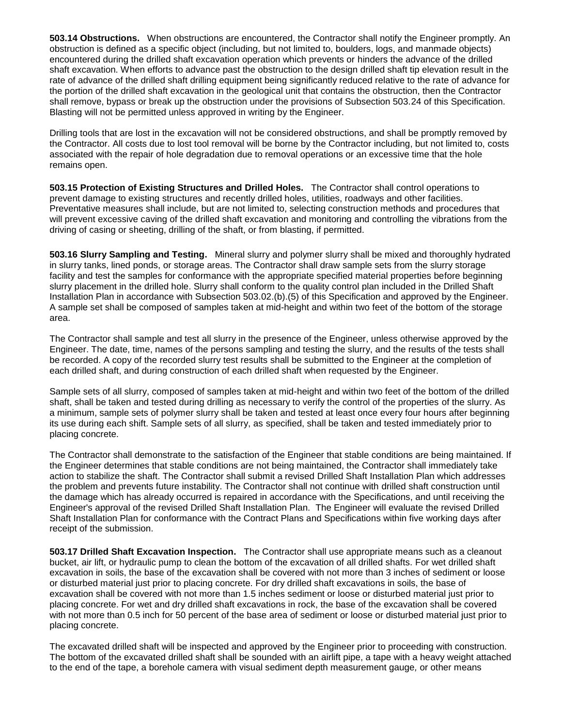**503.14 Obstructions.**When obstructions are encountered, the Contractor shall notify the Engineer promptly. An obstruction is defined as a specific object (including, but not limited to, boulders, logs, and manmade objects) encountered during the drilled shaft excavation operation which prevents or hinders the advance of the drilled shaft excavation. When efforts to advance past the obstruction to the design drilled shaft tip elevation result in the rate of advance of the drilled shaft drilling equipment being significantly reduced relative to the rate of advance for the portion of the drilled shaft excavation in the geological unit that contains the obstruction, then the Contractor shall remove, bypass or break up the obstruction under the provisions of Subsection 503.24 of this Specification. Blasting will not be permitted unless approved in writing by the Engineer.

Drilling tools that are lost in the excavation will not be considered obstructions, and shall be promptly removed by the Contractor. All costs due to lost tool removal will be borne by the Contractor including, but not limited to, costs associated with the repair of hole degradation due to removal operations or an excessive time that the hole remains open.

**503.15 Protection of Existing Structures and Drilled Holes.**The Contractor shall control operations to prevent damage to existing structures and recently drilled holes, utilities, roadways and other facilities. Preventative measures shall include, but are not limited to, selecting construction methods and procedures that will prevent excessive caving of the drilled shaft excavation and monitoring and controlling the vibrations from the driving of casing or sheeting, drilling of the shaft, or from blasting, if permitted.

**503.16 Slurry Sampling and Testing.** Mineral slurry and polymer slurry shall be mixed and thoroughly hydrated in slurry tanks, lined ponds, or storage areas. The Contractor shall draw sample sets from the slurry storage facility and test the samples for conformance with the appropriate specified material properties before beginning slurry placement in the drilled hole. Slurry shall conform to the quality control plan included in the Drilled Shaft Installation Plan in accordance with Subsection 503.02.(b).(5) of this Specification and approved by the Engineer. A sample set shall be composed of samples taken at mid-height and within two feet of the bottom of the storage area.

The Contractor shall sample and test all slurry in the presence of the Engineer, unless otherwise approved by the Engineer. The date, time, names of the persons sampling and testing the slurry, and the results of the tests shall be recorded. A copy of the recorded slurry test results shall be submitted to the Engineer at the completion of each drilled shaft, and during construction of each drilled shaft when requested by the Engineer.

Sample sets of all slurry, composed of samples taken at mid-height and within two feet of the bottom of the drilled shaft, shall be taken and tested during drilling as necessary to verify the control of the properties of the slurry. As a minimum, sample sets of polymer slurry shall be taken and tested at least once every four hours after beginning its use during each shift. Sample sets of all slurry, as specified, shall be taken and tested immediately prior to placing concrete.

The Contractor shall demonstrate to the satisfaction of the Engineer that stable conditions are being maintained. If the Engineer determines that stable conditions are not being maintained, the Contractor shall immediately take action to stabilize the shaft. The Contractor shall submit a revised Drilled Shaft Installation Plan which addresses the problem and prevents future instability. The Contractor shall not continue with drilled shaft construction until the damage which has already occurred is repaired in accordance with the Specifications, and until receiving the Engineer's approval of the revised Drilled Shaft Installation Plan. The Engineer will evaluate the revised Drilled Shaft Installation Plan for conformance with the Contract Plans and Specifications within five working days after receipt of the submission.

**503.17 Drilled Shaft Excavation Inspection.**The Contractor shall use appropriate means such as a cleanout bucket, air lift, or hydraulic pump to clean the bottom of the excavation of all drilled shafts. For wet drilled shaft excavation in soils, the base of the excavation shall be covered with not more than 3 inches of sediment or loose or disturbed material just prior to placing concrete. For dry drilled shaft excavations in soils, the base of excavation shall be covered with not more than 1.5 inches sediment or loose or disturbed material just prior to placing concrete. For wet and dry drilled shaft excavations in rock, the base of the excavation shall be covered with not more than 0.5 inch for 50 percent of the base area of sediment or loose or disturbed material just prior to placing concrete.

The excavated drilled shaft will be inspected and approved by the Engineer prior to proceeding with construction. The bottom of the excavated drilled shaft shall be sounded with an airlift pipe, a tape with a heavy weight attached to the end of the tape, a borehole camera with visual sediment depth measurement gauge*,* or other means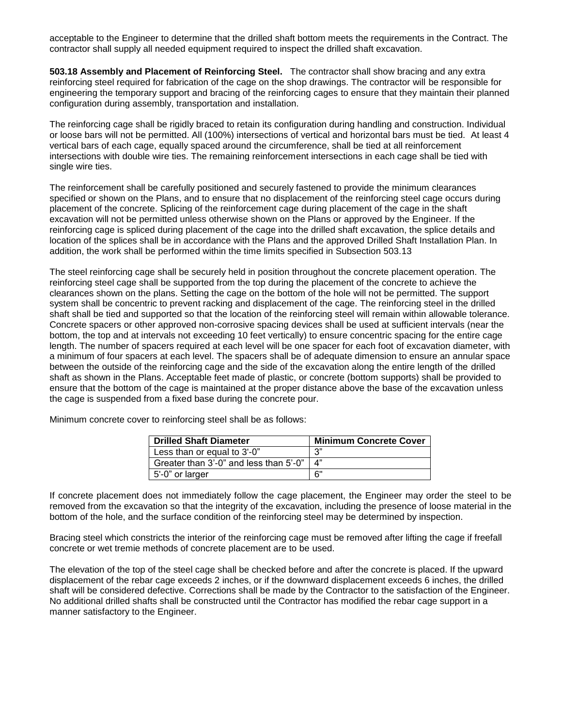acceptable to the Engineer to determine that the drilled shaft bottom meets the requirements in the Contract. The contractor shall supply all needed equipment required to inspect the drilled shaft excavation.

**503.18 Assembly and Placement of Reinforcing Steel.**The contractor shall show bracing and any extra reinforcing steel required for fabrication of the cage on the shop drawings. The contractor will be responsible for engineering the temporary support and bracing of the reinforcing cages to ensure that they maintain their planned configuration during assembly, transportation and installation.

The reinforcing cage shall be rigidly braced to retain its configuration during handling and construction. Individual or loose bars will not be permitted. All (100%) intersections of vertical and horizontal bars must be tied. At least 4 vertical bars of each cage, equally spaced around the circumference, shall be tied at all reinforcement intersections with double wire ties. The remaining reinforcement intersections in each cage shall be tied with single wire ties.

The reinforcement shall be carefully positioned and securely fastened to provide the minimum clearances specified or shown on the Plans, and to ensure that no displacement of the reinforcing steel cage occurs during placement of the concrete. Splicing of the reinforcement cage during placement of the cage in the shaft excavation will not be permitted unless otherwise shown on the Plans or approved by the Engineer. If the reinforcing cage is spliced during placement of the cage into the drilled shaft excavation, the splice details and location of the splices shall be in accordance with the Plans and the approved Drilled Shaft Installation Plan. In addition, the work shall be performed within the time limits specified in Subsection 503.13

The steel reinforcing cage shall be securely held in position throughout the concrete placement operation. The reinforcing steel cage shall be supported from the top during the placement of the concrete to achieve the clearances shown on the plans. Setting the cage on the bottom of the hole will not be permitted. The support system shall be concentric to prevent racking and displacement of the cage. The reinforcing steel in the drilled shaft shall be tied and supported so that the location of the reinforcing steel will remain within allowable tolerance. Concrete spacers or other approved non-corrosive spacing devices shall be used at sufficient intervals (near the bottom, the top and at intervals not exceeding 10 feet vertically) to ensure concentric spacing for the entire cage length. The number of spacers required at each level will be one spacer for each foot of excavation diameter, with a minimum of four spacers at each level. The spacers shall be of adequate dimension to ensure an annular space between the outside of the reinforcing cage and the side of the excavation along the entire length of the drilled shaft as shown in the Plans. Acceptable feet made of plastic, or concrete (bottom supports) shall be provided to ensure that the bottom of the cage is maintained at the proper distance above the base of the excavation unless the cage is suspended from a fixed base during the concrete pour.

Minimum concrete cover to reinforcing steel shall be as follows:

| Drilled Shaft Diameter                 | <b>Minimum Concrete Cover</b> |
|----------------------------------------|-------------------------------|
| Less than or equal to 3'-0"            | 3"                            |
| Greater than 3'-0" and less than 5'-0" | $\Lambda$ "                   |
| 5'-0" or larger                        | .6"                           |

If concrete placement does not immediately follow the cage placement, the Engineer may order the steel to be removed from the excavation so that the integrity of the excavation, including the presence of loose material in the bottom of the hole, and the surface condition of the reinforcing steel may be determined by inspection.

Bracing steel which constricts the interior of the reinforcing cage must be removed after lifting the cage if freefall concrete or wet tremie methods of concrete placement are to be used.

The elevation of the top of the steel cage shall be checked before and after the concrete is placed. If the upward displacement of the rebar cage exceeds 2 inches, or if the downward displacement exceeds 6 inches, the drilled shaft will be considered defective. Corrections shall be made by the Contractor to the satisfaction of the Engineer. No additional drilled shafts shall be constructed until the Contractor has modified the rebar cage support in a manner satisfactory to the Engineer.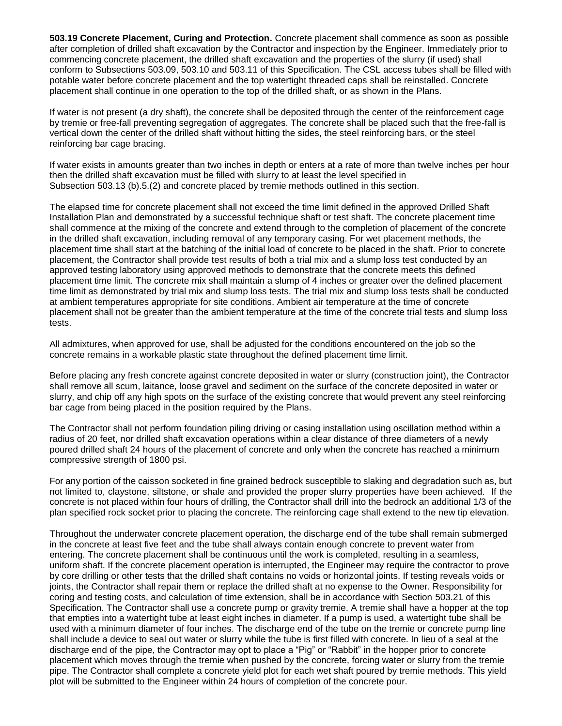**503.19 Concrete Placement, Curing and Protection.** Concrete placement shall commence as soon as possible after completion of drilled shaft excavation by the Contractor and inspection by the Engineer. Immediately prior to commencing concrete placement, the drilled shaft excavation and the properties of the slurry (if used) shall conform to Subsections 503.09, 503.10 and 503.11 of this Specification. The CSL access tubes shall be filled with potable water before concrete placement and the top watertight threaded caps shall be reinstalled. Concrete placement shall continue in one operation to the top of the drilled shaft, or as shown in the Plans.

If water is not present (a dry shaft), the concrete shall be deposited through the center of the reinforcement cage by tremie or free-fall preventing segregation of aggregates. The concrete shall be placed such that the free-fall is vertical down the center of the drilled shaft without hitting the sides, the steel reinforcing bars, or the steel reinforcing bar cage bracing.

If water exists in amounts greater than two inches in depth or enters at a rate of more than twelve inches per hour then the drilled shaft excavation must be filled with slurry to at least the level specified in Subsection 503.13 (b).5.(2) and concrete placed by tremie methods outlined in this section.

The elapsed time for concrete placement shall not exceed the time limit defined in the approved Drilled Shaft Installation Plan and demonstrated by a successful technique shaft or test shaft. The concrete placement time shall commence at the mixing of the concrete and extend through to the completion of placement of the concrete in the drilled shaft excavation, including removal of any temporary casing. For wet placement methods, the placement time shall start at the batching of the initial load of concrete to be placed in the shaft. Prior to concrete placement, the Contractor shall provide test results of both a trial mix and a slump loss test conducted by an approved testing laboratory using approved methods to demonstrate that the concrete meets this defined placement time limit. The concrete mix shall maintain a slump of 4 inches or greater over the defined placement time limit as demonstrated by trial mix and slump loss tests. The trial mix and slump loss tests shall be conducted at ambient temperatures appropriate for site conditions. Ambient air temperature at the time of concrete placement shall not be greater than the ambient temperature at the time of the concrete trial tests and slump loss tests.

All admixtures, when approved for use, shall be adjusted for the conditions encountered on the job so the concrete remains in a workable plastic state throughout the defined placement time limit.

Before placing any fresh concrete against concrete deposited in water or slurry (construction joint), the Contractor shall remove all scum, laitance, loose gravel and sediment on the surface of the concrete deposited in water or slurry, and chip off any high spots on the surface of the existing concrete that would prevent any steel reinforcing bar cage from being placed in the position required by the Plans.

The Contractor shall not perform foundation piling driving or casing installation using oscillation method within a radius of 20 feet, nor drilled shaft excavation operations within a clear distance of three diameters of a newly poured drilled shaft 24 hours of the placement of concrete and only when the concrete has reached a minimum compressive strength of 1800 psi.

For any portion of the caisson socketed in fine grained bedrock susceptible to slaking and degradation such as, but not limited to, claystone, siltstone, or shale and provided the proper slurry properties have been achieved. If the concrete is not placed within four hours of drilling, the Contractor shall drill into the bedrock an additional 1/3 of the plan specified rock socket prior to placing the concrete. The reinforcing cage shall extend to the new tip elevation.

Throughout the underwater concrete placement operation, the discharge end of the tube shall remain submerged in the concrete at least five feet and the tube shall always contain enough concrete to prevent water from entering. The concrete placement shall be continuous until the work is completed, resulting in a seamless, uniform shaft. If the concrete placement operation is interrupted, the Engineer may require the contractor to prove by core drilling or other tests that the drilled shaft contains no voids or horizontal joints. If testing reveals voids or joints, the Contractor shall repair them or replace the drilled shaft at no expense to the Owner. Responsibility for coring and testing costs, and calculation of time extension, shall be in accordance with Section 503.21 of this Specification. The Contractor shall use a concrete pump or gravity tremie. A tremie shall have a hopper at the top that empties into a watertight tube at least eight inches in diameter. If a pump is used, a watertight tube shall be used with a minimum diameter of four inches. The discharge end of the tube on the tremie or concrete pump line shall include a device to seal out water or slurry while the tube is first filled with concrete. In lieu of a seal at the discharge end of the pipe, the Contractor may opt to place a "Pig" or "Rabbit" in the hopper prior to concrete placement which moves through the tremie when pushed by the concrete, forcing water or slurry from the tremie pipe. The Contractor shall complete a concrete yield plot for each wet shaft poured by tremie methods. This yield plot will be submitted to the Engineer within 24 hours of completion of the concrete pour.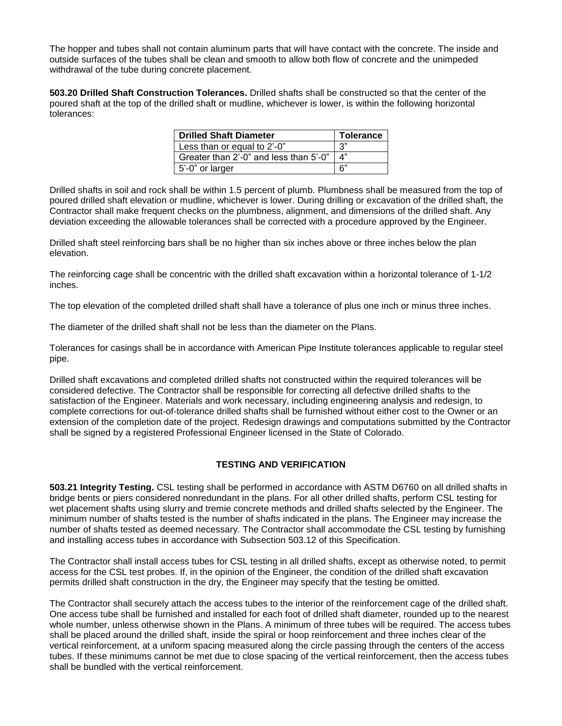The hopper and tubes shall not contain aluminum parts that will have contact with the concrete. The inside and outside surfaces of the tubes shall be clean and smooth to allow both flow of concrete and the unimpeded withdrawal of the tube during concrete placement.

**503.20 Drilled Shaft Construction Tolerances.** Drilled shafts shall be constructed so that the center of the poured shaft at the top of the drilled shaft or mudline, whichever is lower, is within the following horizontal tolerances:

| Drilled Shaft Diameter                 | <b>Tolerance</b>     |
|----------------------------------------|----------------------|
| Less than or equal to 2'-0"            | ີ ?"                 |
| Greater than 2'-0" and less than 5'-0" | $\mathbf{\Lambda}^n$ |
| 5'-0" or larger                        | ና"                   |

Drilled shafts in soil and rock shall be within 1.5 percent of plumb. Plumbness shall be measured from the top of poured drilled shaft elevation or mudline, whichever is lower. During drilling or excavation of the drilled shaft, the Contractor shall make frequent checks on the plumbness, alignment, and dimensions of the drilled shaft. Any deviation exceeding the allowable tolerances shall be corrected with a procedure approved by the Engineer.

Drilled shaft steel reinforcing bars shall be no higher than six inches above or three inches below the plan elevation.

The reinforcing cage shall be concentric with the drilled shaft excavation within a horizontal tolerance of 1-1/2 inches.

The top elevation of the completed drilled shaft shall have a tolerance of plus one inch or minus three inches.

The diameter of the drilled shaft shall not be less than the diameter on the Plans.

Tolerances for casings shall be in accordance with American Pipe Institute tolerances applicable to regular steel pipe.

Drilled shaft excavations and completed drilled shafts not constructed within the required tolerances will be considered defective. The Contractor shall be responsible for correcting all defective drilled shafts to the satisfaction of the Engineer. Materials and work necessary, including engineering analysis and redesign, to complete corrections for out-of-tolerance drilled shafts shall be furnished without either cost to the Owner or an extension of the completion date of the project. Redesign drawings and computations submitted by the Contractor shall be signed by a registered Professional Engineer licensed in the State of Colorado.

#### **TESTING AND VERIFICATION**

**503.21 Integrity Testing.** CSL testing shall be performed in accordance with ASTM D6760 on all drilled shafts in bridge bents or piers considered nonredundant in the plans. For all other drilled shafts, perform CSL testing for wet placement shafts using slurry and tremie concrete methods and drilled shafts selected by the Engineer. The minimum number of shafts tested is the number of shafts indicated in the plans. The Engineer may increase the number of shafts tested as deemed necessary. The Contractor shall accommodate the CSL testing by furnishing and installing access tubes in accordance with Subsection 503.12 of this Specification.

The Contractor shall install access tubes for CSL testing in all drilled shafts, except as otherwise noted, to permit access for the CSL test probes. If, in the opinion of the Engineer, the condition of the drilled shaft excavation permits drilled shaft construction in the dry, the Engineer may specify that the testing be omitted.

The Contractor shall securely attach the access tubes to the interior of the reinforcement cage of the drilled shaft. One access tube shall be furnished and installed for each foot of drilled shaft diameter, rounded up to the nearest whole number, unless otherwise shown in the Plans. A minimum of three tubes will be required. The access tubes shall be placed around the drilled shaft, inside the spiral or hoop reinforcement and three inches clear of the vertical reinforcement, at a uniform spacing measured along the circle passing through the centers of the access tubes. If these minimums cannot be met due to close spacing of the vertical reinforcement, then the access tubes shall be bundled with the vertical reinforcement.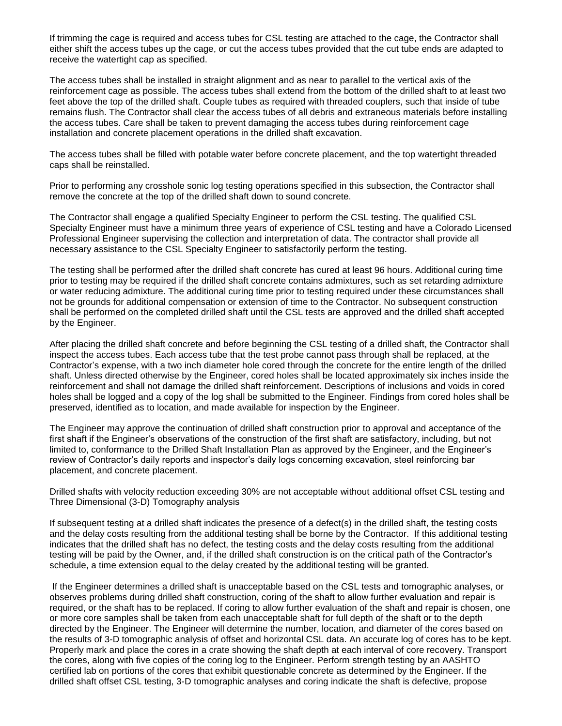If trimming the cage is required and access tubes for CSL testing are attached to the cage, the Contractor shall either shift the access tubes up the cage, or cut the access tubes provided that the cut tube ends are adapted to receive the watertight cap as specified.

The access tubes shall be installed in straight alignment and as near to parallel to the vertical axis of the reinforcement cage as possible. The access tubes shall extend from the bottom of the drilled shaft to at least two feet above the top of the drilled shaft. Couple tubes as required with threaded couplers, such that inside of tube remains flush. The Contractor shall clear the access tubes of all debris and extraneous materials before installing the access tubes. Care shall be taken to prevent damaging the access tubes during reinforcement cage installation and concrete placement operations in the drilled shaft excavation.

The access tubes shall be filled with potable water before concrete placement, and the top watertight threaded caps shall be reinstalled.

Prior to performing any crosshole sonic log testing operations specified in this subsection, the Contractor shall remove the concrete at the top of the drilled shaft down to sound concrete.

The Contractor shall engage a qualified Specialty Engineer to perform the CSL testing. The qualified CSL Specialty Engineer must have a minimum three years of experience of CSL testing and have a Colorado Licensed Professional Engineer supervising the collection and interpretation of data. The contractor shall provide all necessary assistance to the CSL Specialty Engineer to satisfactorily perform the testing.

The testing shall be performed after the drilled shaft concrete has cured at least 96 hours. Additional curing time prior to testing may be required if the drilled shaft concrete contains admixtures, such as set retarding admixture or water reducing admixture. The additional curing time prior to testing required under these circumstances shall not be grounds for additional compensation or extension of time to the Contractor. No subsequent construction shall be performed on the completed drilled shaft until the CSL tests are approved and the drilled shaft accepted by the Engineer.

After placing the drilled shaft concrete and before beginning the CSL testing of a drilled shaft, the Contractor shall inspect the access tubes. Each access tube that the test probe cannot pass through shall be replaced, at the Contractor's expense, with a two inch diameter hole cored through the concrete for the entire length of the drilled shaft. Unless directed otherwise by the Engineer, cored holes shall be located approximately six inches inside the reinforcement and shall not damage the drilled shaft reinforcement. Descriptions of inclusions and voids in cored holes shall be logged and a copy of the log shall be submitted to the Engineer. Findings from cored holes shall be preserved, identified as to location, and made available for inspection by the Engineer.

The Engineer may approve the continuation of drilled shaft construction prior to approval and acceptance of the first shaft if the Engineer's observations of the construction of the first shaft are satisfactory, including, but not limited to, conformance to the Drilled Shaft Installation Plan as approved by the Engineer, and the Engineer's review of Contractor's daily reports and inspector's daily logs concerning excavation, steel reinforcing bar placement, and concrete placement.

Drilled shafts with velocity reduction exceeding 30% are not acceptable without additional offset CSL testing and Three Dimensional (3-D) Tomography analysis

If subsequent testing at a drilled shaft indicates the presence of a defect(s) in the drilled shaft, the testing costs and the delay costs resulting from the additional testing shall be borne by the Contractor. If this additional testing indicates that the drilled shaft has no defect, the testing costs and the delay costs resulting from the additional testing will be paid by the Owner, and, if the drilled shaft construction is on the critical path of the Contractor's schedule, a time extension equal to the delay created by the additional testing will be granted.

If the Engineer determines a drilled shaft is unacceptable based on the CSL tests and tomographic analyses, or observes problems during drilled shaft construction, coring of the shaft to allow further evaluation and repair is required, or the shaft has to be replaced. If coring to allow further evaluation of the shaft and repair is chosen, one or more core samples shall be taken from each unacceptable shaft for full depth of the shaft or to the depth directed by the Engineer. The Engineer will determine the number, location, and diameter of the cores based on the results of 3-D tomographic analysis of offset and horizontal CSL data. An accurate log of cores has to be kept. Properly mark and place the cores in a crate showing the shaft depth at each interval of core recovery. Transport the cores, along with five copies of the coring log to the Engineer. Perform strength testing by an AASHTO certified lab on portions of the cores that exhibit questionable concrete as determined by the Engineer. If the drilled shaft offset CSL testing, 3-D tomographic analyses and coring indicate the shaft is defective, propose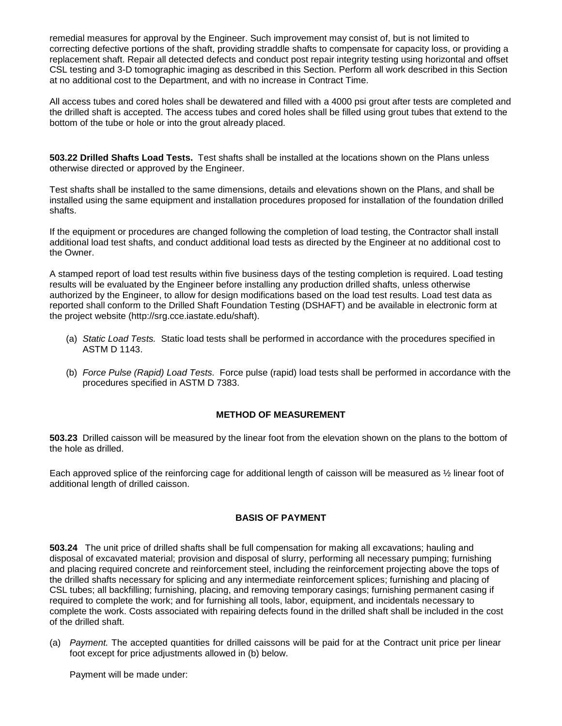remedial measures for approval by the Engineer. Such improvement may consist of, but is not limited to correcting defective portions of the shaft, providing straddle shafts to compensate for capacity loss, or providing a replacement shaft. Repair all detected defects and conduct post repair integrity testing using horizontal and offset CSL testing and 3-D tomographic imaging as described in this Section. Perform all work described in this Section at no additional cost to the Department, and with no increase in Contract Time.

All access tubes and cored holes shall be dewatered and filled with a 4000 psi grout after tests are completed and the drilled shaft is accepted. The access tubes and cored holes shall be filled using grout tubes that extend to the bottom of the tube or hole or into the grout already placed.

**503.22 Drilled Shafts Load Tests.**Test shafts shall be installed at the locations shown on the Plans unless otherwise directed or approved by the Engineer.

Test shafts shall be installed to the same dimensions, details and elevations shown on the Plans, and shall be installed using the same equipment and installation procedures proposed for installation of the foundation drilled shafts.

If the equipment or procedures are changed following the completion of load testing, the Contractor shall install additional load test shafts, and conduct additional load tests as directed by the Engineer at no additional cost to the Owner.

A stamped report of load test results within five business days of the testing completion is required. Load testing results will be evaluated by the Engineer before installing any production drilled shafts, unless otherwise authorized by the Engineer, to allow for design modifications based on the load test results. Load test data as reported shall conform to the Drilled Shaft Foundation Testing (DSHAFT) and be available in electronic form at the project website (http://srg.cce.iastate.edu/shaft).

- (a) *Static Load Tests.* Static load tests shall be performed in accordance with the procedures specified in ASTM D 1143.
- (b) *Force Pulse (Rapid) Load Tests.* Force pulse (rapid) load tests shall be performed in accordance with the procedures specified in ASTM D 7383.

#### **METHOD OF MEASUREMENT**

**503.23** Drilled caisson will be measured by the linear foot from the elevation shown on the plans to the bottom of the hole as drilled.

Each approved splice of the reinforcing cage for additional length of caisson will be measured as  $\frac{1}{2}$  linear foot of additional length of drilled caisson.

# **BASIS OF PAYMENT**

**503.24** The unit price of drilled shafts shall be full compensation for making all excavations; hauling and disposal of excavated material; provision and disposal of slurry, performing all necessary pumping; furnishing and placing required concrete and reinforcement steel, including the reinforcement projecting above the tops of the drilled shafts necessary for splicing and any intermediate reinforcement splices; furnishing and placing of CSL tubes; all backfilling; furnishing, placing, and removing temporary casings; furnishing permanent casing if required to complete the work; and for furnishing all tools, labor, equipment, and incidentals necessary to complete the work. Costs associated with repairing defects found in the drilled shaft shall be included in the cost of the drilled shaft.

(a) *Payment.* The accepted quantities for drilled caissons will be paid for at the Contract unit price per linear foot except for price adjustments allowed in (b) below.

Payment will be made under: